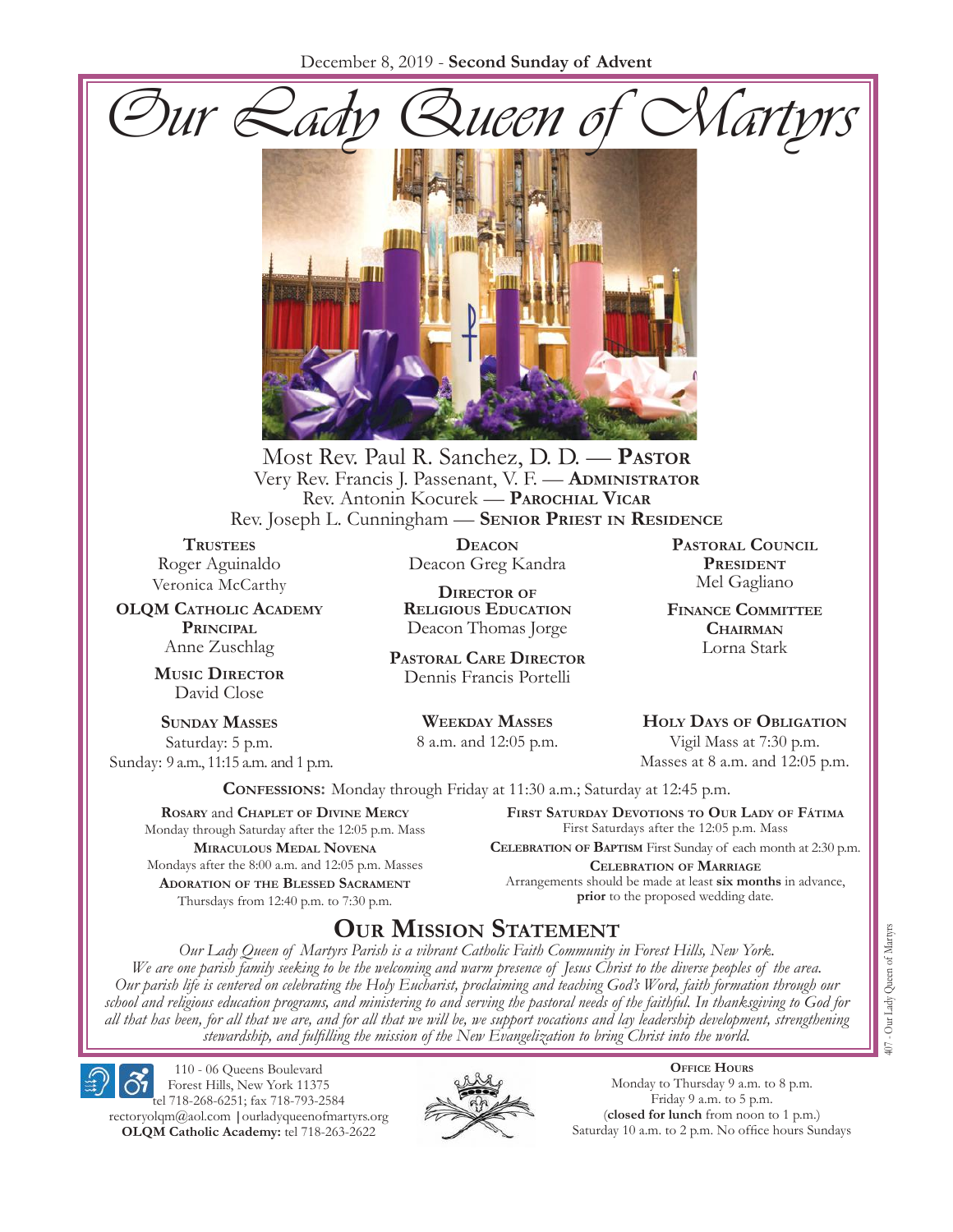



Most Rev. Paul R. Sanchez, D. D. — **Pastor** Very Rev. Francis J. Passenant, V. F. — **Administrator** Rev. Antonin Kocurek — **Parochial Vicar** Rev. Joseph L. Cunningham — **Senior Priest in Residence**

**TRUSTEES** Roger Aguinaldo Veronica McCarthy

**OLQM Catholic Academy Principal** Anne Zuschlag

> **Music Director** David Close

**Sunday Masses** Saturday: 5 p.m. Sunday: 9 a.m., 11:15 a.m. and 1 p.m.

**Deacon** Deacon Greg Kandra

**Director of Religious Education** Deacon Thomas Jorge

**Pastoral Care Director** Dennis Francis Portelli

> **Weekday Masses** 8 a.m. and 12:05 p.m.

**Pastoral Council President** Mel Gagliano

**Finance Committee Chairman** Lorna Stark

**Holy Days of Obligation** Vigil Mass at 7:30 p.m.

Masses at 8 a.m. and 12:05 p.m.

**Confessions:** Monday through Friday at 11:30 a.m.; Saturday at 12:45 p.m.

**Rosary** and **Chaplet of Divine Mercy** Monday through Saturday after the 12:05 p.m. Mass **Miraculous Medal Novena** Mondays after the 8:00 a.m. and 12:05 p.m. Masses **Adoration of the Blessed Sacrament** Thursdays from 12:40 p.m. to 7:30 p.m.

**First Saturday Devotions to Our Lady of Fátima** First Saturdays after the 12:05 p.m. Mass

**Celebration of Baptism** First Sunday of each month at 2:30 p.m. **Celebration of Marriage** Arrangements should be made at least **six months** in advance, **prior** to the proposed wedding date.

# **Our Mission Statement**

*Our Lady Queen of Martyrs Parish is a vibrant Catholic Faith Community in Forest Hills, New York. We are one parish family seeking to be the welcoming and warm presence of Jesus Christ to the diverse peoples of the area. Our parish life is centered on celebrating the Holy Eucharist, proclaiming and teaching God's Word, faith formation through our school and religious education programs, and ministering to and serving the pastoral needs of the faithful. In thanksgiving to God for all that has been, for all that we are, and for all that we will be, we support vocations and lay leadership development, strengthening stewardship, and fulfilling the mission of the New Evangelization to bring Christ into the world.*

110 - 06 Queens Boulevard Forest Hills, New York 11375 tel 718-268-6251; fax 718-793-2584 rectoryolqm@aol.com **|**ourladyqueenofmartyrs.org **OLQM Catholic Academy:** tel 718-263-2622



**Office Hours** Monday to Thursday 9 a.m. to 8 p.m. Friday 9 a.m. to 5 p.m. (**closed for lunch** from noon to 1 p.m.) Saturday 10 a.m. to 2 p.m. No office hours Sundays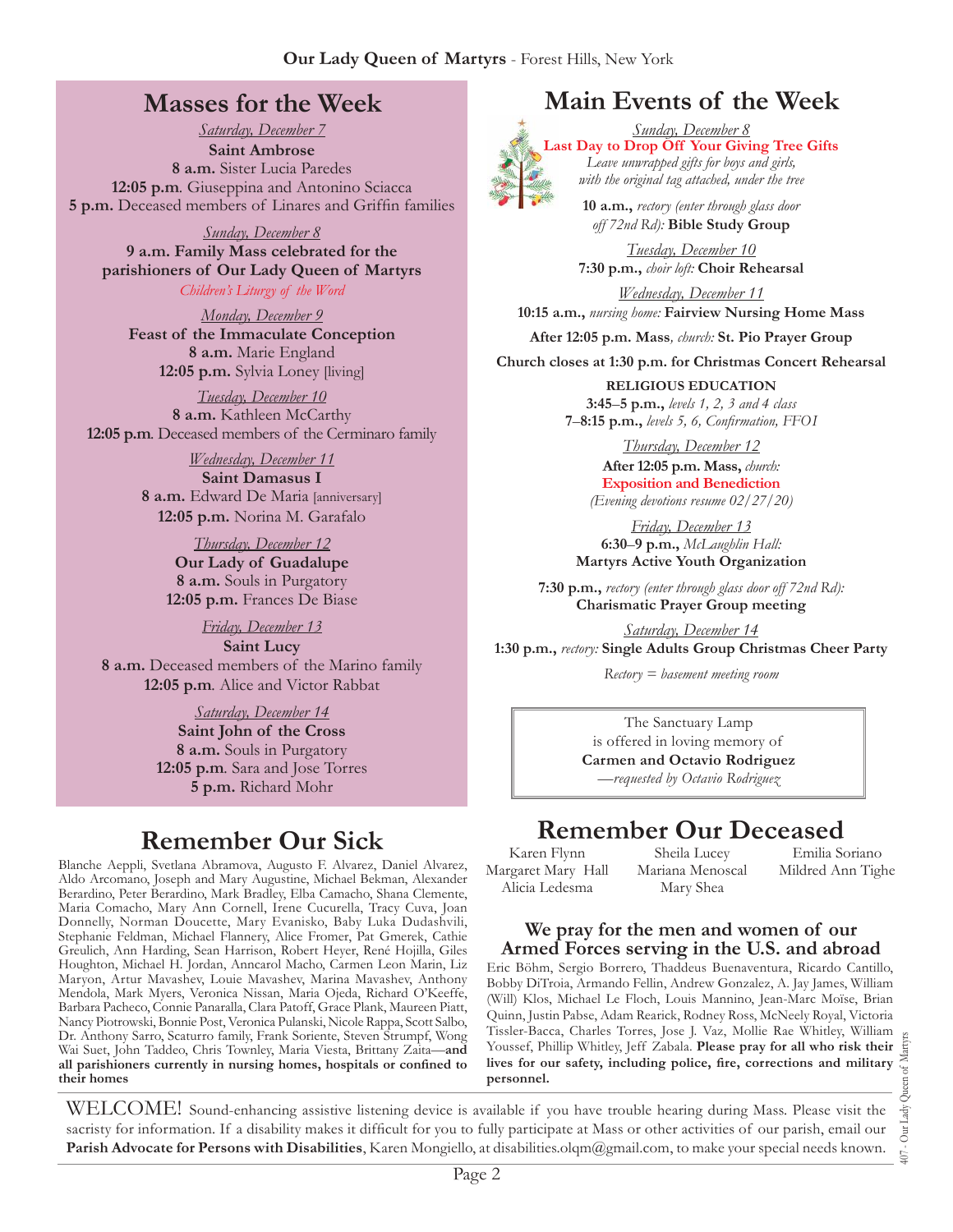# **Masses for the Week**

*Saturday, December 7* **Saint Ambrose 8 a.m.** Sister Lucia Paredes **12:05 p.m***.* Giuseppina and Antonino Sciacca **5 p.m.** Deceased members of Linares and Griffin families

*Sunday, December 8* **9 a.m. Family Mass celebrated for the parishioners of Our Lady Queen of Martyrs** *Children's Liturgy of the Word* 

*Monday, December 9* **Feast of the Immaculate Conception 8 a.m.** Marie England **12:05 p.m.** Sylvia Loney [living]

*Tuesday, December 10* **8 a.m.** Kathleen McCarthy **12:05 p.m***.* Deceased members of the Cerminaro family

> *Wednesday, December 11* **Saint Damasus I 8 a.m.** Edward De Maria [anniversary] **12:05 p.m.** Norina M. Garafalo

> > *Thursday, December 12* **Our Lady of Guadalupe 8 a.m.** Souls in Purgatory **12:05 p.m.** Frances De Biase

*Friday, December 13* **Saint Lucy 8 a.m.** Deceased members of the Marino family **12:05 p.m***.* Alice and Victor Rabbat

> *Saturday, December 14* **Saint John of the Cross 8 a.m.** Souls in Purgatory **12:05 p.m***.* Sara and Jose Torres **5 p.m.** Richard Mohr

# **Remember Our Sick**

Blanche Aeppli, Svetlana Abramova, Augusto F. Alvarez, Daniel Alvarez, Aldo Arcomano, Joseph and Mary Augustine, Michael Bekman, Alexander Berardino, Peter Berardino, Mark Bradley, Elba Camacho, Shana Clemente, Maria Comacho, Mary Ann Cornell, Irene Cucurella, Tracy Cuva, Joan Donnelly, Norman Doucette, Mary Evanisko, Baby Luka Dudashvili, Stephanie Feldman, Michael Flannery, Alice Fromer, Pat Gmerek, Cathie Greulich, Ann Harding, Sean Harrison, Robert Heyer, René Hojilla, Giles Houghton, Michael H. Jordan, Anncarol Macho, Carmen Leon Marin, Liz Maryon, Artur Mavashev, Louie Mavashev, Marina Mavashev, Anthony Mendola, Mark Myers, Veronica Nissan, Maria Ojeda, Richard O'Keeffe, Barbara Pacheco, Connie Panaralla, Clara Patoff, Grace Plank, Maureen Piatt, Nancy Piotrowski, Bonnie Post, Veronica Pulanski, Nicole Rappa, Scott Salbo, Dr. Anthony Sarro, Scaturro family, Frank Soriente, Steven Strumpf, Wong Wai Suet, John Taddeo, Chris Townley, Maria Viesta, Brittany Zaita—**and all parishioners currently in nursing homes, hospitals or confined to their homes**

# **Main Events of the Week**



*Sunday, December 8* **Last Day to Drop Off Your Giving Tree Gifts** *Leave unwrapped gifts for boys and girls, with the original tag attached, under the tree* 

> **10 a.m.,** *rectory (enter through glass door off 72nd Rd):* **Bible Study Group**

*Tuesday, December 10* **7:30 p.m.,** *choir loft:* **Choir Rehearsal**

*Wednesday, December 11* **10:15 a.m.,** *nursing home:* **Fairview Nursing Home Mass**

**After 12:05 p.m. Mass***, church:* **St. Pio Prayer Group**

**Church closes at 1:30 p.m. for Christmas Concert Rehearsal**

**RELIGIOUS EDUCATION 3:45**–**5 p.m.,** *levels 1, 2, 3 and 4 class* **7**–**8:15 p.m.,** *levels 5, 6, Confirmation, FFO  I*

> *Thursday, December 12* **After 12:05 p.m. Mass,** *church:*  **Exposition and Benediction** *(Evening devotions resume 02/27/20)*

*Friday, December 13* **6:30**–**9 p.m.,** *McLaughlin Hall:* **Martyrs Active Youth Organization**

**7:30 p.m.,** *rectory (enter through glass door off 72nd Rd):* **Charismatic Prayer Group meeting**

*Saturday, December 14* **1:30 p.m.,** *rectory:* **Single Adults Group Christmas Cheer Party**

*Rectory = basement meeting room*

The Sanctuary Lamp is offered in loving memory of **Carmen and Octavio Rodriguez** *—requested by Octavio Rodriguez*

# **Remember Our Deceased**

Karen Flynn Margaret Mary Hall Alicia Ledesma

Sheila Lucey Mariana Menoscal Mary Shea

Emilia Soriano Mildred Ann Tighe

### **We pray for the men and women of our Armed Forces serving in the U.S. and abroad**

Eric Böhm, Sergio Borrero, Thaddeus Buenaventura, Ricardo Cantillo, Bobby DiTroia, Armando Fellin, Andrew Gonzalez, A. Jay James, William (Will) Klos, Michael Le Floch, Louis Mannino, Jean-Marc Moïse, Brian Quinn, Justin Pabse, Adam Rearick, Rodney Ross, McNeely Royal, Victoria Tissler-Bacca, Charles Torres, Jose J. Vaz, Mollie Rae Whitley, William Youssef, Phillip Whitley, Jeff Zabala. **Please pray for all who risk their lives for our safety, including police, fire, corrections and military personnel.**

407 - Our Lady Queen of Martyrs Our Lady  $\overline{407}$  .

WELCOME! Sound-enhancing assistive listening device is available if you have trouble hearing during Mass. Please visit the sacristy for information. If a disability makes it difficult for you to fully participate at Mass or other activities of our parish, email our **Parish Advocate for Persons with Disabilities**, Karen Mongiello, at disabilities.olqm@gmail.com, to make your special needs known.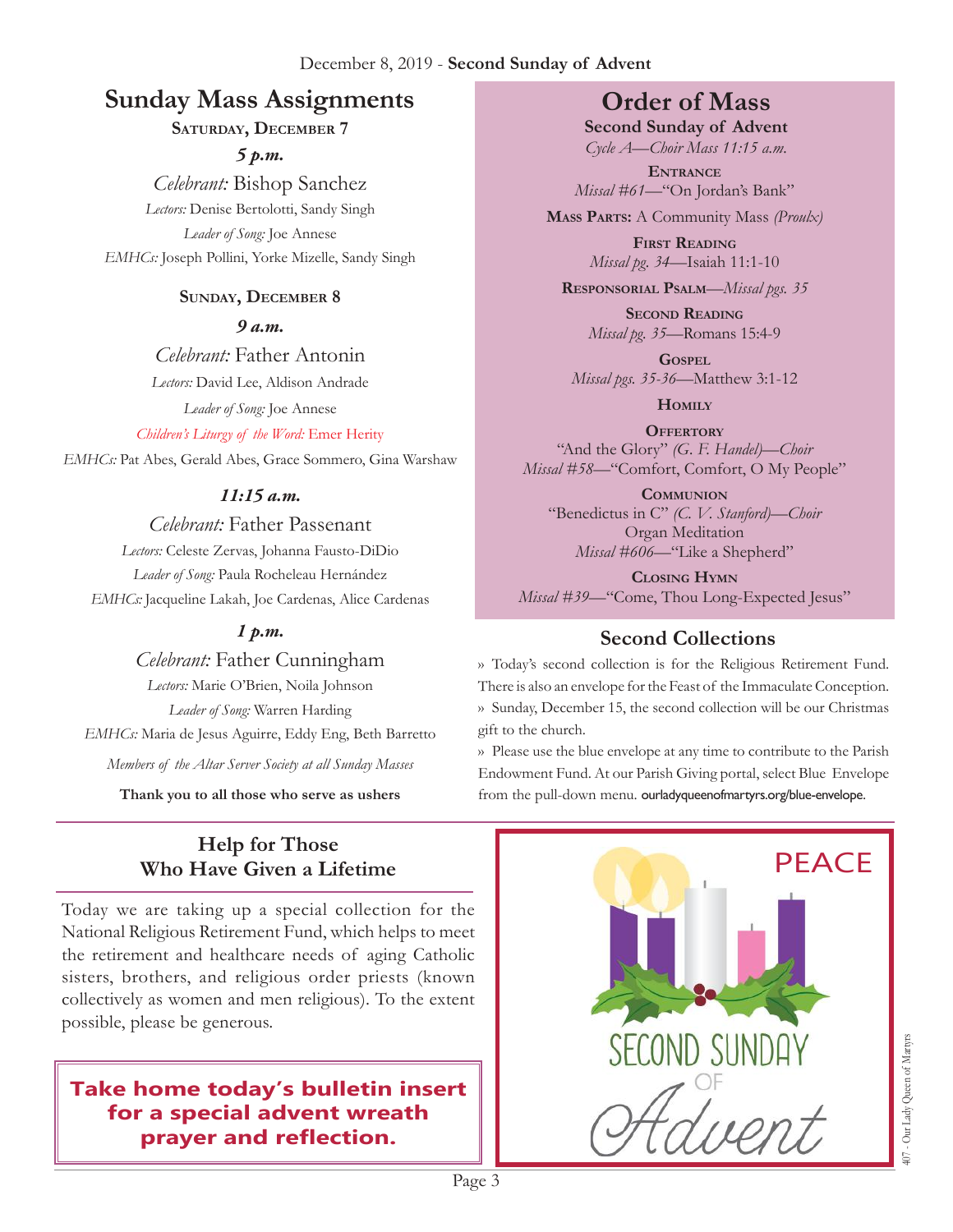### December 8, 2019 - **Second Sunday of Advent**

# **Sunday Mass Assignments Order of Mass**

### **Saturday, December 7**

*5 p.m.* 

*Celebrant:* Bishop Sanchez *Lectors:* Denise Bertolotti, Sandy Singh *Leader of Song:* Joe Annese *EMHCs:* Joseph Pollini, Yorke Mizelle, Sandy Singh

### **Sunday, December 8**

*9 a.m.* 

*Celebrant:* Father Antonin

*Lectors:* David Lee, Aldison Andrade

*Leader of Song:* Joe Annese

*Children's Liturgy of the Word:* Emer Herity

*EMHCs:* Pat Abes, Gerald Abes, Grace Sommero, Gina Warshaw

### *11:15 a.m.*

### *Celebrant:* Father Passenant

*Lectors:* Celeste Zervas, Johanna Fausto-DiDio *Leader of Song:* Paula Rocheleau Hernández *EMHCs:* Jacqueline Lakah, Joe Cardenas, Alice Cardenas

### *1 p.m.*

*Celebrant:* Father Cunningham *Lectors:* Marie O'Brien, Noila Johnson *Leader of Song:* Warren Harding *EMHCs:* Maria de Jesus Aguirre, Eddy Eng, Beth Barretto *Members of the Altar Server Society at all Sunday Masses*

**Thank you to all those who serve as ushers**

### **Help for Those Who Have Given a Lifetime**

Today we are taking up a special collection for the National Religious Retirement Fund, which helps to meet the retirement and healthcare needs of aging Catholic sisters, brothers, and religious order priests (known collectively as women and men religious). To the extent possible, please be generous.

## **Take home today's bulletin insert for a special advent wreath prayer and reflection.**

**Second Sunday of Advent** *Cycle A—Choir Mass 11:15 a.m.*

**Entrance** *Missal #61—*"On Jordan's Bank"

**Mass Parts:** A Community Mass *(Proulx)*

**First Reading** *Missal pg. 34—*Isaiah 11:1-10

**Responsorial Psalm**—*Missal pgs. 35*

**Second Reading** *Missal pg. 35—*Romans 15:4-9

**Gospel** *Missal pgs. 35-36—*Matthew 3:1-12

**Homily**

**OFFERTORY** "And the Glory" *(G. F. Handel)—Choir Missal #58—*"Comfort, Comfort, O My People"

**Communion** "Benedictus in C" *(C. V. Stanford)—Choir* Organ Meditation *Missal #606—*"Like a Shepherd"

**Closing Hymn** *Missal #39*—"Come, Thou Long-Expected Jesus"

# **Second Collections**

›› Today's second collection is for the Religious Retirement Fund. There is also an envelope for the Feast of the Immaculate Conception. ›› Sunday, December 15, the second collection will be our Christmas gift to the church.

›› Please use the blue envelope at any time to contribute to the Parish Endowment Fund. At our Parish Giving portal, select Blue Envelope from the pull-down menu. ourladyqueenofmartyrs.org/blue-envelope.

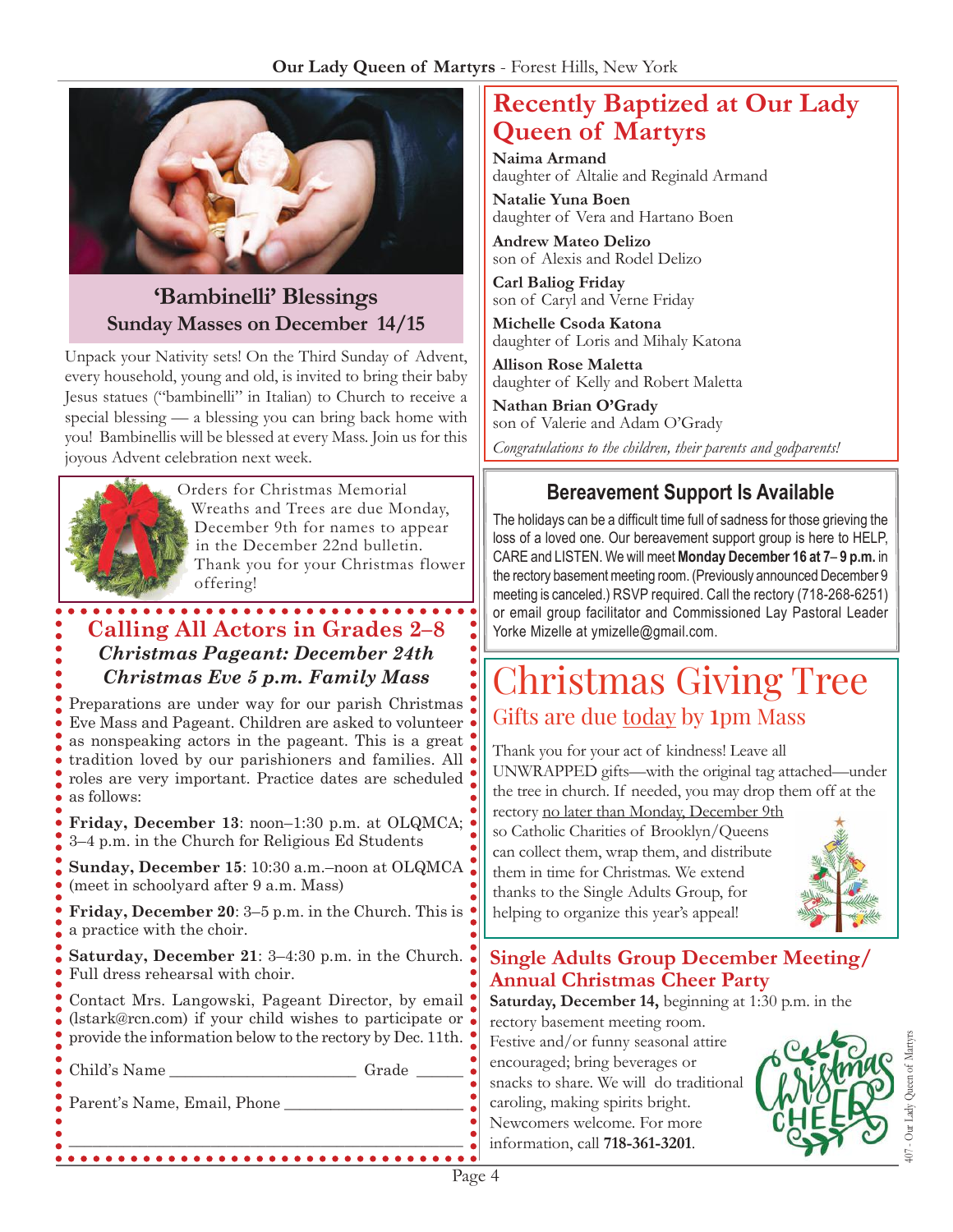

# **'Bambinelli' Blessings Sunday Masses on December 14/15**

Unpack your Nativity sets! On the Third Sunday of Advent, every household, young and old, is invited to bring their baby Jesus statues ("bambinelli" in Italian) to Church to receive a special blessing — a blessing you can bring back home with you! Bambinellis will be blessed at every Mass. Join us for this joyous Advent celebration next week.



Orders for Christmas Memorial Wreaths and Trees are due Monday, December 9th for names to appear in the December 22nd bulletin. Thank you for your Christmas flower offering!

### **Calling All Actors in Grades 2–8**  *Christmas Pageant: December 24th Christmas Eve 5 p.m. Family Mass*

Preparations are under way for our parish Christmas Eve Mass and Pageant. Children are asked to volunteer as nonspeaking actors in the pageant. This is a great tradition loved by our parishioners and families. All roles are very important. Practice dates are scheduled as follows:

**Friday, December 13**: noon–1:30 p.m. at OLQMCA; 3–4 p.m. in the Church for Religious Ed Students

**Sunday, December 15**: 10:30 a.m.–noon at OLQMCA (meet in schoolyard after 9 a.m. Mass)

**Friday, December 20**: 3–5 p.m. in the Church. This is a practice with the choir.

**Saturday, December 21**: 3–4:30 p.m. in the Church. Full dress rehearsal with choir.

Contact Mrs. Langowski, Pageant Director, by email (lstark@rcn.com) if your child wishes to participate or provide the information below to the rectory by Dec. 11th.

\_\_\_\_\_\_\_\_\_\_\_\_\_\_\_\_\_\_\_\_\_\_\_\_\_\_\_\_\_\_\_\_\_\_\_\_\_\_\_\_\_\_\_\_\_\_\_\_\_\_

Child's Name \_\_\_\_\_\_\_\_\_\_\_\_\_\_\_\_\_\_\_\_\_\_\_\_ Grade \_\_\_\_\_\_

Parent's Name, Email, Phone

# **Recently Baptized at Our Lady Queen of Martyrs**

**Naima Armand** daughter of Altalie and Reginald Armand

**Natalie Yuna Boen** daughter of Vera and Hartano Boen

**Andrew Mateo Delizo** son of Alexis and Rodel Delizo

**Carl Baliog Friday** son of Caryl and Verne Friday

**Michelle Csoda Katona** daughter of Loris and Mihaly Katona

**Allison Rose Maletta** daughter of Kelly and Robert Maletta

**Nathan Brian O'Grady** son of Valerie and Adam O'Grady

*Congratulations to the children, their parents and godparents!*

# **Bereavement Support Is Available**

The holidays can be a difficult time full of sadness for those grieving the loss of a loved one. Our bereavement support group is here to HELP, CARE and LISTEN. We will meet **Monday December 16 at 7**– **9 p.m.** in the rectory basement meeting room. (Previously announced December 9 meeting is canceled.) RSVP required. Call the rectory (718-268-6251) or email group facilitator and Commissioned Lay Pastoral Leader Yorke Mizelle at ymizelle@gmail.com.

# Christmas Giving Tree Gifts are due today by 1pm Mass

Thank you for your act of kindness! Leave all UNWRAPPED gifts—with the original tag attached—under the tree in church. If needed, you may drop them off at the rectory no later than Monday, December 9th

so Catholic Charities of Brooklyn/Queens can collect them, wrap them, and distribute them in time for Christmas. We extend thanks to the Single Adults Group, for helping to organize this year's appeal!



### **Single Adults Group December Meeting/ Annual Christmas Cheer Party**

**Saturday, December 14,** beginning at 1:30 p.m. in the rectory basement meeting room.

Festive and/or funny seasonal attire encouraged; bring beverages or snacks to share. We will do traditional caroling, making spirits bright. Newcomers welcome. For more information, call **718-361-3201**.

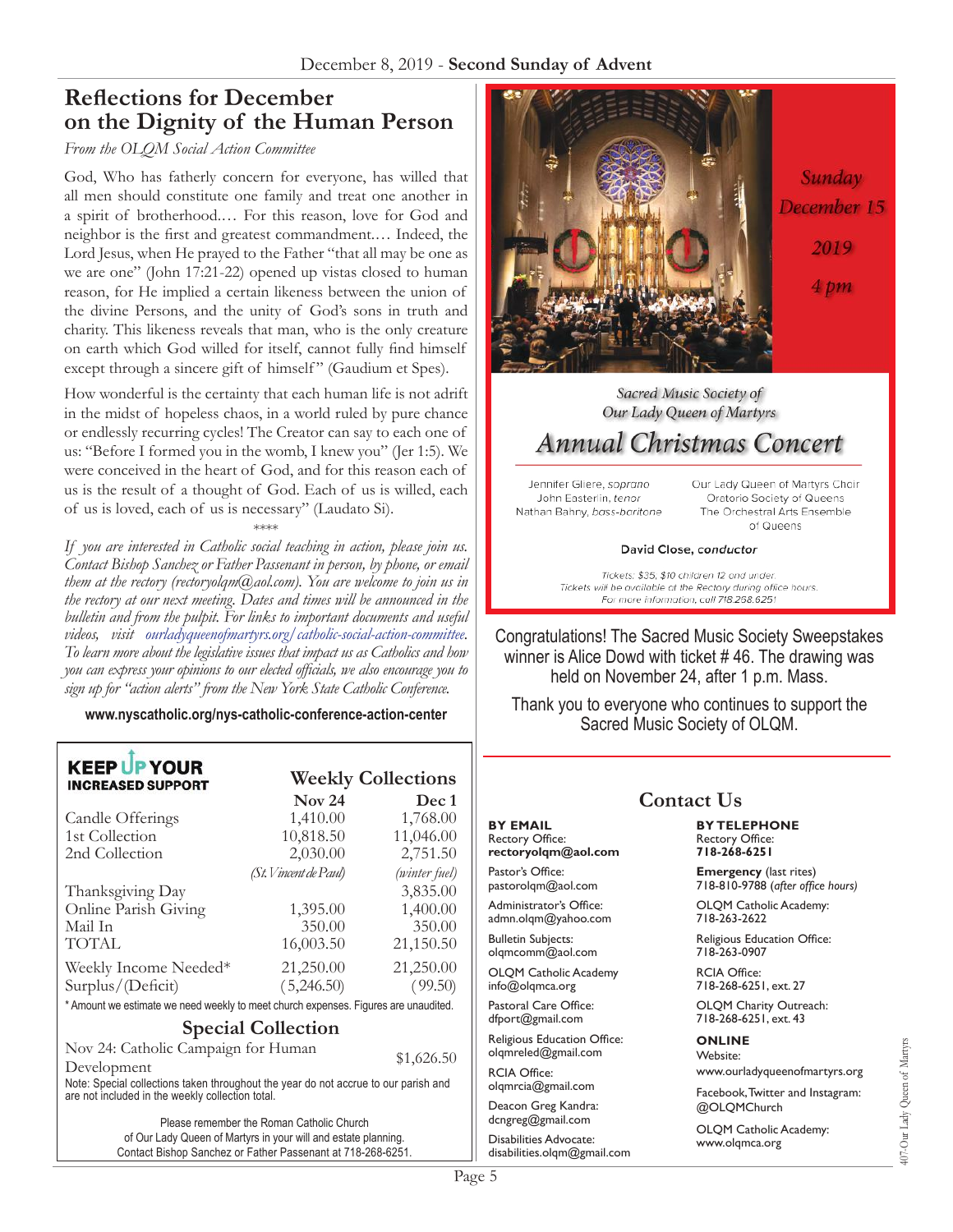# **Reflections for December on the Dignity of the Human Person**

#### *From the OLQM Social Action Committee*

God, Who has fatherly concern for everyone, has willed that all men should constitute one family and treat one another in a spirit of brotherhood.… For this reason, love for God and neighbor is the first and greatest commandment.… Indeed, the Lord Jesus, when He prayed to the Father "that all may be one as we are one" (John 17:21-22) opened up vistas closed to human reason, for He implied a certain likeness between the union of the divine Persons, and the unity of God's sons in truth and charity. This likeness reveals that man, who is the only creature on earth which God willed for itself, cannot fully find himself except through a sincere gift of himself" (Gaudium et Spes).

How wonderful is the certainty that each human life is not adrift in the midst of hopeless chaos, in a world ruled by pure chance or endlessly recurring cycles! The Creator can say to each one of us: "Before I formed you in the womb, I knew you" (Jer 1:5). We were conceived in the heart of God, and for this reason each of us is the result of a thought of God. Each of us is willed, each of us is loved, each of us is necessary" (Laudato Si).

#### \*\*\*\*

*If you are interested in Catholic social teaching in action, please join us. Contact Bishop Sanchez or Father Passenant in person, by phone, or email them at the rectory (rectoryolqm@aol.com). You are welcome to join us in the rectory at our next meeting. Dates and times will be announced in the bulletin and from the pulpit. For links to important documents and useful videos, visit ourladyqueenofmartyrs.org/catholic-social-action-committee. To learn more about the legislative issues that impact us as Catholics and how you can express your opinions to our elected officials, we also encourage you to sign up for "action alerts" from the New York State Catholic Conference.*

**www.nyscatholic.org/nys-catholic-conference-action-center**

| <b>KEEP UP YOUR</b><br><b>INCREASED SUPPORT</b>                                                                                         | <b>Weekly Collections</b> |               |
|-----------------------------------------------------------------------------------------------------------------------------------------|---------------------------|---------------|
|                                                                                                                                         | $\sqrt{N}$ 24             | Dec 1         |
| Candle Offerings                                                                                                                        | 1,410.00                  | 1,768.00      |
| 1st Collection                                                                                                                          | 10,818.50                 | 11,046.00     |
| 2nd Collection                                                                                                                          | 2,030.00                  | 2,751.50      |
|                                                                                                                                         | (St. Vincent de Paul)     | (winter fuel) |
| Thanksgiving Day                                                                                                                        |                           | 3,835.00      |
| Online Parish Giving                                                                                                                    | 1,395.00                  | 1,400.00      |
| Mail In                                                                                                                                 | 350.00                    | 350.00        |
| TOTAL                                                                                                                                   | 16,003.50                 | 21,150.50     |
| Weekly Income Needed*                                                                                                                   | 21,250.00                 | 21,250.00     |
| Surplus/(Deficit)                                                                                                                       | (5,246.50)                | (99.50)       |
| * Amount we estimate we need weekly to meet church expenses. Figures are unaudited.                                                     |                           |               |
| <b>Special Collection</b>                                                                                                               |                           |               |
| Nov 24: Catholic Campaign for Human                                                                                                     |                           |               |
| \$1,626.50<br>Development                                                                                                               |                           |               |
| Note: Special collections taken throughout the year do not accrue to our parish and<br>are not included in the weekly collection total. |                           |               |
|                                                                                                                                         |                           |               |

Please remember the Roman Catholic Church of Our Lady Queen of Martyrs in your will and estate planning. Contact Bishop Sanchez or Father Passenant at 718-268-6251.



### Sacred Music Society of Our Lady Queen of Martyrs

# **Annual Christmas Concert**

Jennifer Gliere, soprano John Easterlin, tenor Nathan Bahny, bass-baritone Our Lady Queen of Martyrs Choir Oratorio Society of Queens The Orchestral Arts Ensemble of Queens

#### David Close, conductor

Tickets: \$35; \$10 children 12 and under. Tickets will be available at the Rectory during office hours. For more information, call 718.268.6251

Congratulations! The Sacred Music Society Sweepstakes winner is Alice Dowd with ticket # 46. The drawing was held on November 24, after 1 p.m. Mass.

Thank you to everyone who continues to support the Sacred Music Society of OLQM.

# **Contact Us rectoryolqm@aol.com**

pastorolqm@aol.com

Administrator's Office: admn.olqm@yahoo.com

**BY EMAIL** Rectory Office:

Pastor's Office:

Bulletin Subjects: olqmcomm@aol.com

OLQM Catholic Academy info@olqmca.org

Pastoral Care Office: dfport@gmail.com

Religious Education Office: olqmreled@gmail.com

RCIA Office: olqmrcia@gmail.com

Deacon Greg Kandra: dcngreg@gmail.com

Disabilities Advocate: disabilities.olqm@gmail.com

**BY TELEPHONE** Rectory Office: **718-268-6251**

**Emergency** (last rites) 718-810-9788 (*after office hours)*

OLQM Catholic Academy: 718-263-2622

Religious Education Office: 718-263-0907

RCIA Office: 718-268-6251, ext. 27

OLQM Charity Outreach: 718-268-6251, ext. 43

#### **ONLINE**

Website: www.ourladyqueenofmartyrs.org

Facebook, Twitter and Instagram: @OLQMChurch

OLQM Catholic Academy: www.olqmca.org